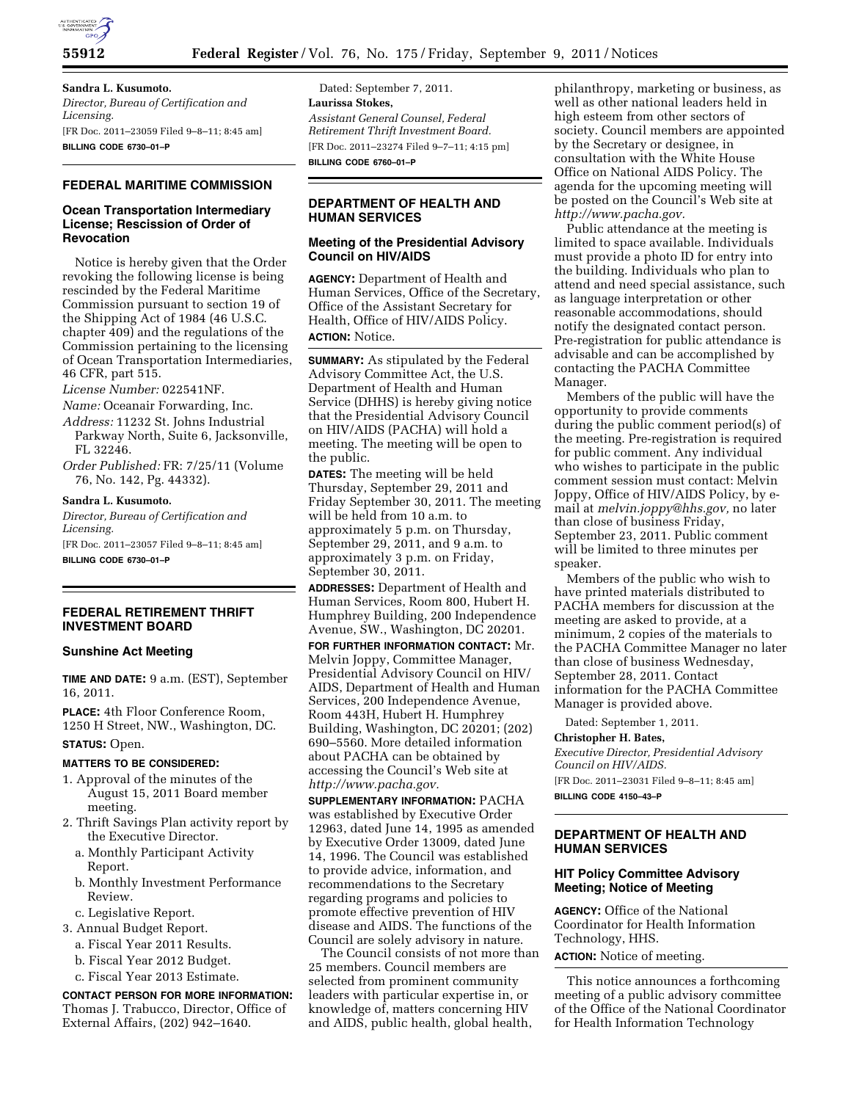

# **Sandra L. Kusumoto.**

*Director, Bureau of Certification and Licensing.*  [FR Doc. 2011–23059 Filed 9–8–11; 8:45 am] **BILLING CODE 6730–01–P** 

### **FEDERAL MARITIME COMMISSION**

#### **Ocean Transportation Intermediary License; Rescission of Order of Revocation**

Notice is hereby given that the Order revoking the following license is being rescinded by the Federal Maritime Commission pursuant to section 19 of the Shipping Act of 1984 (46 U.S.C. chapter 409) and the regulations of the Commission pertaining to the licensing of Ocean Transportation Intermediaries, 46 CFR, part 515.

*License Number:* 022541NF.

*Name:* Oceanair Forwarding, Inc.

- *Address:* 11232 St. Johns Industrial Parkway North, Suite 6, Jacksonville, FL 32246.
- *Order Published:* FR: 7/25/11 (Volume 76, No. 142, Pg. 44332).

#### **Sandra L. Kusumoto.**

*Director, Bureau of Certification and Licensing.*  [FR Doc. 2011–23057 Filed 9–8–11; 8:45 am] **BILLING CODE 6730–01–P** 

**FEDERAL RETIREMENT THRIFT INVESTMENT BOARD** 

#### **Sunshine Act Meeting**

**TIME AND DATE:** 9 a.m. (EST), September 16, 2011.

**PLACE:** 4th Floor Conference Room, 1250 H Street, NW., Washington, DC.

#### **STATUS:** Open.

## **MATTERS TO BE CONSIDERED:**

- 1. Approval of the minutes of the August 15, 2011 Board member meeting.
- 2. Thrift Savings Plan activity report by the Executive Director.
	- a. Monthly Participant Activity Report.
	- b. Monthly Investment Performance Review.
	- c. Legislative Report.
- 3. Annual Budget Report.
	- a. Fiscal Year 2011 Results.
	- b. Fiscal Year 2012 Budget.
	- c. Fiscal Year 2013 Estimate.

**CONTACT PERSON FOR MORE INFORMATION:**  Thomas J. Trabucco, Director, Office of External Affairs, (202) 942–1640.

Dated: September 7, 2011. **Laurissa Stokes,**  *Assistant General Counsel, Federal Retirement Thrift Investment Board.*  [FR Doc. 2011–23274 Filed 9–7–11; 4:15 pm] **BILLING CODE 6760–01–P** 

# **DEPARTMENT OF HEALTH AND HUMAN SERVICES**

# **Meeting of the Presidential Advisory Council on HIV/AIDS**

**AGENCY:** Department of Health and Human Services, Office of the Secretary, Office of the Assistant Secretary for Health, Office of HIV/AIDS Policy. **ACTION:** Notice.

**SUMMARY:** As stipulated by the Federal Advisory Committee Act, the U.S. Department of Health and Human Service (DHHS) is hereby giving notice that the Presidential Advisory Council on HIV/AIDS (PACHA) will hold a meeting. The meeting will be open to the public.

**DATES:** The meeting will be held Thursday, September 29, 2011 and Friday September 30, 2011. The meeting will be held from 10 a.m. to approximately 5 p.m. on Thursday, September 29, 2011, and 9 a.m. to approximately 3 p.m. on Friday, September 30, 2011.

**ADDRESSES:** Department of Health and Human Services, Room 800, Hubert H. Humphrey Building, 200 Independence Avenue, SW., Washington, DC 20201.

**FOR FURTHER INFORMATION CONTACT:** Mr. Melvin Joppy, Committee Manager, Presidential Advisory Council on HIV/ AIDS, Department of Health and Human Services, 200 Independence Avenue, Room 443H, Hubert H. Humphrey Building, Washington, DC 20201; (202) 690–5560. More detailed information about PACHA can be obtained by accessing the Council's Web site at *[http://www.pacha.gov.](http://www.pacha.gov)* 

**SUPPLEMENTARY INFORMATION:** PACHA was established by Executive Order 12963, dated June 14, 1995 as amended by Executive Order 13009, dated June 14, 1996. The Council was established to provide advice, information, and recommendations to the Secretary regarding programs and policies to promote effective prevention of HIV disease and AIDS. The functions of the Council are solely advisory in nature.

The Council consists of not more than 25 members. Council members are selected from prominent community leaders with particular expertise in, or knowledge of, matters concerning HIV and AIDS, public health, global health,

philanthropy, marketing or business, as well as other national leaders held in high esteem from other sectors of society. Council members are appointed by the Secretary or designee, in consultation with the White House Office on National AIDS Policy. The agenda for the upcoming meeting will be posted on the Council's Web site at *[http://www.pacha.gov.](http://www.pacha.gov)* 

Public attendance at the meeting is limited to space available. Individuals must provide a photo ID for entry into the building. Individuals who plan to attend and need special assistance, such as language interpretation or other reasonable accommodations, should notify the designated contact person. Pre-registration for public attendance is advisable and can be accomplished by contacting the PACHA Committee Manager.

Members of the public will have the opportunity to provide comments during the public comment period(s) of the meeting. Pre-registration is required for public comment. Any individual who wishes to participate in the public comment session must contact: Melvin Joppy, Office of HIV/AIDS Policy, by email at *[melvin.joppy@hhs.gov,](mailto:melvin.joppy@hhs.gov)* no later than close of business Friday, September 23, 2011. Public comment will be limited to three minutes per speaker.

Members of the public who wish to have printed materials distributed to PACHA members for discussion at the meeting are asked to provide, at a minimum, 2 copies of the materials to the PACHA Committee Manager no later than close of business Wednesday, September 28, 2011. Contact information for the PACHA Committee Manager is provided above.

Dated: September 1, 2011.

#### **Christopher H. Bates,**

*Executive Director, Presidential Advisory Council on HIV/AIDS.*  [FR Doc. 2011–23031 Filed 9–8–11; 8:45 am] **BILLING CODE 4150–43–P** 

## **DEPARTMENT OF HEALTH AND HUMAN SERVICES**

# **HIT Policy Committee Advisory Meeting; Notice of Meeting**

**AGENCY:** Office of the National Coordinator for Health Information Technology, HHS.

**ACTION:** Notice of meeting.

This notice announces a forthcoming meeting of a public advisory committee of the Office of the National Coordinator for Health Information Technology